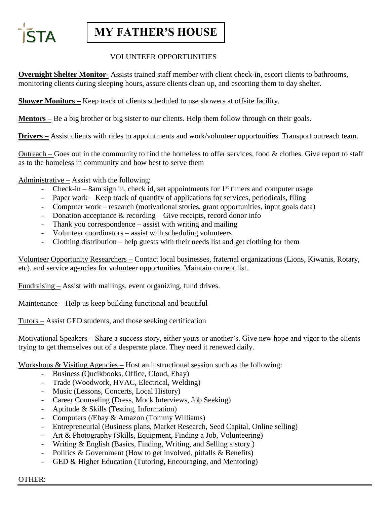

## **MY FATHER'S HOUSE**

### VOLUNTEER OPPORTUNITIES

**Overnight Shelter Monitor-** Assists trained staff member with client check-in, escort clients to bathrooms, monitoring clients during sleeping hours, assure clients clean up, and escorting them to day shelter.

**Shower Monitors –** Keep track of clients scheduled to use showers at offsite facility.

**Mentors** – Be a big brother or big sister to our clients. Help them follow through on their goals.

**Drivers** – Assist clients with rides to appointments and work/volunteer opportunities. Transport outreach team.

Outreach – Goes out in the community to find the homeless to offer services, food  $\&$  clothes. Give report to staff as to the homeless in community and how best to serve them

Administrative – Assist with the following:

- Check-in 8am sign in, check id, set appointments for  $1<sup>st</sup>$  timers and computer usage
- Paper work Keep track of quantity of applications for services, periodicals, filing
- Computer work research (motivational stories, grant opportunities, input goals data)
- Donation acceptance  $&$  recording Give receipts, record donor info
- Thank you correspondence  $-$  assist with writing and mailing
- Volunteer coordinators assist with scheduling volunteers
- Clothing distribution help guests with their needs list and get clothing for them

Volunteer Opportunity Researchers – Contact local businesses, fraternal organizations (Lions, Kiwanis, Rotary, etc), and service agencies for volunteer opportunities. Maintain current list.

Fundraising – Assist with mailings, event organizing, fund drives.

Maintenance – Help us keep building functional and beautiful

Tutors – Assist GED students, and those seeking certification

Motivational Speakers – Share a success story, either yours or another's. Give new hope and vigor to the clients trying to get themselves out of a desperate place. They need it renewed daily.

Workshops & Visiting Agencies – Host an instructional session such as the following:

- Business (Qucikbooks, Office, Cloud, Ebay)
- Trade (Woodwork, HVAC, Electrical, Welding)
- Music (Lessons, Concerts, Local History)
- Career Counseling (Dress, Mock Interviews, Job Seeking)
- Aptitude & Skills (Testing, Information)
- Computers (*/Ebay & Amazon* (Tommy Williams)
- Entrepreneurial (Business plans, Market Research, Seed Capital, Online selling)
- Art & Photography (Skills, Equipment, Finding a Job, Volunteering)
- Writing & English (Basics, Finding, Writing, and Selling a story.)
- Politics & Government (How to get involved, pitfalls & Benefits)
- GED & Higher Education (Tutoring, Encouraging, and Mentoring)

#### OTHER: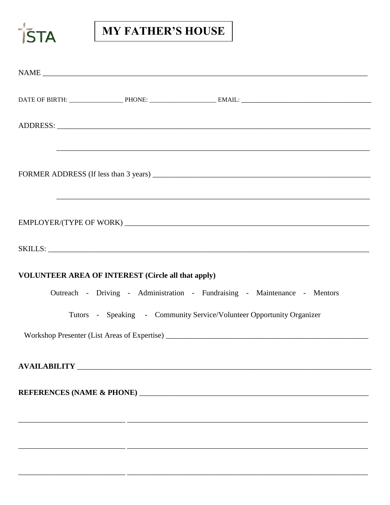

# **MY FATHER'S HOUSE**

|                                                           | ,我们也不能在这里的时候,我们也不能在这里的时候,我们也不能在这里的时候,我们也不能会在这里的时候,我们也不能会在这里的时候,我们也不能会在这里的时候,我们也不能 |
|-----------------------------------------------------------|-----------------------------------------------------------------------------------|
|                                                           |                                                                                   |
|                                                           |                                                                                   |
|                                                           |                                                                                   |
|                                                           |                                                                                   |
|                                                           |                                                                                   |
|                                                           |                                                                                   |
|                                                           |                                                                                   |
| <b>VOLUNTEER AREA OF INTEREST (Circle all that apply)</b> |                                                                                   |
|                                                           | Outreach - Driving - Administration - Fundraising - Maintenance - Mentors         |
|                                                           | Tutors - Speaking - Community Service/Volunteer Opportunity Organizer             |
|                                                           |                                                                                   |
|                                                           |                                                                                   |
|                                                           |                                                                                   |
|                                                           |                                                                                   |
|                                                           |                                                                                   |
|                                                           |                                                                                   |
|                                                           |                                                                                   |
|                                                           |                                                                                   |
|                                                           |                                                                                   |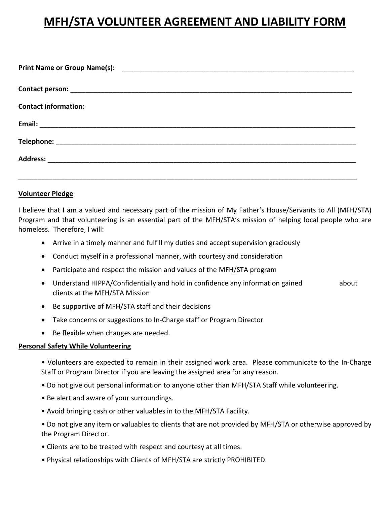# **MFH/STA VOLUNTEER AGREEMENT AND LIABILITY FORM**

| <b>Contact information:</b> |
|-----------------------------|
|                             |
|                             |
|                             |
|                             |

#### **Volunteer Pledge**

I believe that I am a valued and necessary part of the mission of My Father's House/Servants to All (MFH/STA) Program and that volunteering is an essential part of the MFH/STA's mission of helping local people who are homeless. Therefore, I will:

- Arrive in a timely manner and fulfill my duties and accept supervision graciously
- Conduct myself in a professional manner, with courtesy and consideration
- Participate and respect the mission and values of the MFH/STA program
- Understand HIPPA/Confidentially and hold in confidence any information gained about clients at the MFH/STA Mission
- Be supportive of MFH/STA staff and their decisions
- Take concerns or suggestions to In-Charge staff or Program Director
- Be flexible when changes are needed.

#### **Personal Safety While Volunteering**

- Volunteers are expected to remain in their assigned work area. Please communicate to the In-Charge Staff or Program Director if you are leaving the assigned area for any reason.
- Do not give out personal information to anyone other than MFH/STA Staff while volunteering.
- Be alert and aware of your surroundings.
- Avoid bringing cash or other valuables in to the MFH/STA Facility.
- Do not give any item or valuables to clients that are not provided by MFH/STA or otherwise approved by the Program Director.
- Clients are to be treated with respect and courtesy at all times.
- Physical relationships with Clients of MFH/STA are strictly PROHIBITED.